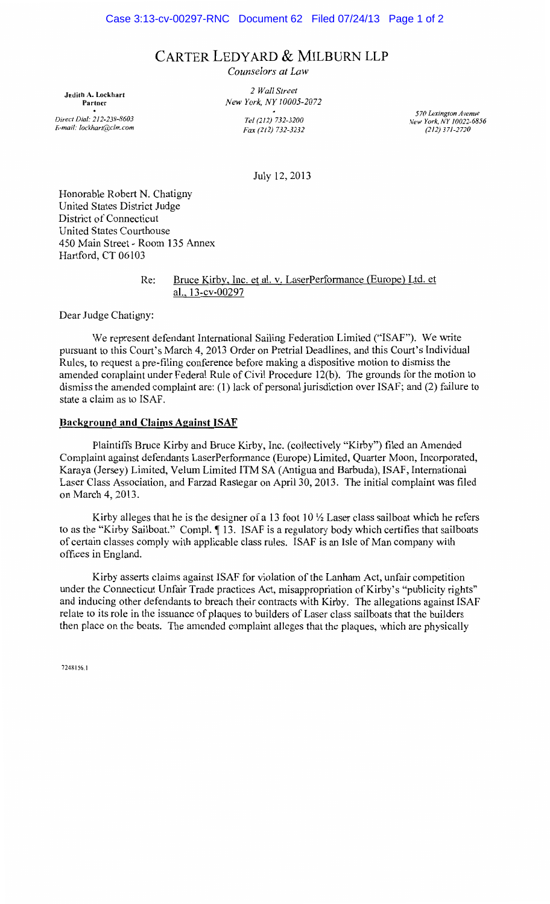# CARTER LEDYARD & MILBURN LLP

*Counselors at Law* 

Judith A. Lockhart Partner *Direct Dial: 212-238-8603 E-mail: /ockhart@clm.com* 

*2 Wall Street New York, NY 10005-2072 Tel (212) 732-3200 Fax (212) 732-3232* 

*570 Lexington Avenue New York, NY 10022-6856 (212) 371-2720* 

July 12, 2013

Honorable Robert N. Chatigny United States District Judge District of Connecticut United States Courthouse 450 Main Street- Room 135 Annex Hartford, CT 06103

> Re: Bruce Kirby, Inc. et al. v. LaserPerformance (Europe) Ltd. et al., 13-cv-00297

Dear Judge Chatigny:

We represent defendant International Sailing Federation Limited ("ISAF"). We write pursuant to this Court's March 4, 2013 Order on Pretrial Deadlines, and this Court's Individual Rules, to request a pre-filing conference before making a dispositive motion to dismiss the amended complaint under Federal Rule of Civil Procedure 12(b). The grounds for the motion to dismiss the amended complaint are: (1) lack of personal jurisdiction over ISAF; and (2) failure to state a claim as to ISAF.

#### Background and Claims Against ISAF

Plaintiffs Bruce Kirby and Bruce Kirby, Inc. (collectively "Kirby") filed an Amended Complaint against defendants LaserPerformance (Europe) Limited, Quarter Moon, Incorporated, Karaya (Jersey) Limited, Velum Limited ITM SA (Antigua and Barbuda), ISAF, International Laser Class Association, and Farzad Rastegar on April 30, 2013. The initial complaint was filed on March 4, 2013.

Kirby alleges that he is the designer of a 13 foot 10  $\frac{1}{2}$  Laser class sailboat which he refers to as the "Kirby Sailboat." Compl.  $\P$  13. ISAF is a regulatory body which certifies that sailboats of certain classes comply with applicable class rules. ISAF is an Isle of Man company with offices in England.

Kirby asserts claims against ISAF for violation of the Lanham Act, unfair competition under the Connecticut Unfair Trade practices Act, misappropriation of Kirby's "publicity rights" and inducing other defendants to breach their contracts with Kirby. The allegations against ISAF relate to its role in the issuance of plaques to builders of Laser class sailboats that the builders then place on the boats. The amended complaint alleges that the plaques, which are physically

7248156.1